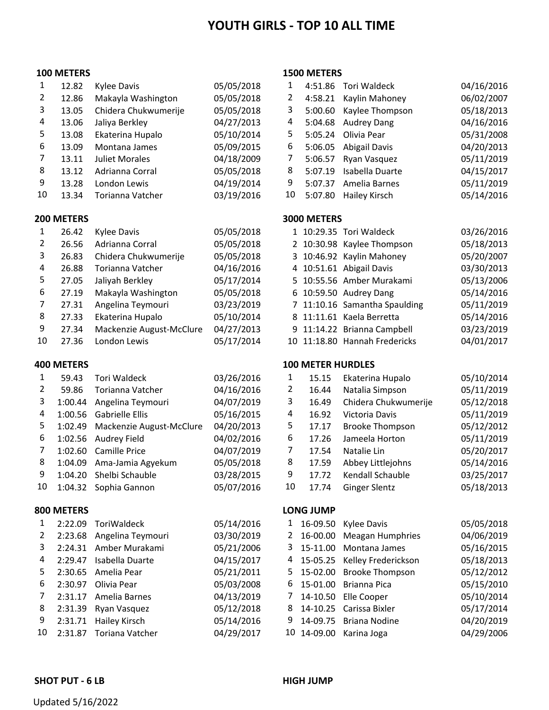# **YOUTH GIRLS ‐ TOP 10 ALL TIME**

### **METERS**

| 1  | 12.82 | Kylee Davis          | 05/05/2018 | 1  | 4:51.86 | Tori Waldeck       | 04/16/2016 |
|----|-------|----------------------|------------|----|---------|--------------------|------------|
| 2  | 12.86 | Makayla Washington   | 05/05/2018 | 2  | 4:58.21 | Kaylin Mahoney     | 06/02/2007 |
| 3  | 13.05 | Chidera Chukwumerije | 05/05/2018 | 3  | 5:00.60 | Kaylee Thompson    | 05/18/2013 |
| 4  | 13.06 | Jaliya Berkley       | 04/27/2013 | 4  | 5:04.68 | <b>Audrey Dang</b> | 04/16/2016 |
| 5. | 13.08 | Ekaterina Hupalo     | 05/10/2014 | 5. | 5:05.24 | Olivia Pear        | 05/31/2008 |
| 6  | 13.09 | Montana James        | 05/09/2015 | 6  | 5:06.05 | Abigail Davis      | 04/20/2013 |
| 7  | 13.11 | Juliet Morales       | 04/18/2009 |    | 5:06.57 | Ryan Vasquez       | 05/11/2019 |
| 8  | 13.12 | Adrianna Corral      | 05/05/2018 | 8  | 5:07.19 | Isabella Duarte    | 04/15/2017 |
| 9  | 13.28 | London Lewis         | 04/19/2014 | 9  | 5:07.37 | Amelia Barnes      | 05/11/2019 |
| 10 | 13.34 | Torianna Vatcher     | 03/19/2016 | 10 | 5:07.80 | Hailey Kirsch      | 05/14/2016 |

| 1  | 26.42 | Kylee Davis              | 05/05/2018 |  | 1 10:29.35 Tori Waldeck       | 03/26/2016 |
|----|-------|--------------------------|------------|--|-------------------------------|------------|
| 2  | 26.56 | Adrianna Corral          | 05/05/2018 |  | 2 10:30.98 Kaylee Thompson    | 05/18/2013 |
| 3  | 26.83 | Chidera Chukwumerije     | 05/05/2018 |  | 3 10:46.92 Kaylin Mahoney     | 05/20/2007 |
| 4  | 26.88 | Torianna Vatcher         | 04/16/2016 |  | 4 10:51.61 Abigail Davis      | 03/30/2013 |
| 5. | 27.05 | Jaliyah Berkley          | 05/17/2014 |  | 5 10:55.56 Amber Murakami     | 05/13/2006 |
| 6  | 27.19 | Makayla Washington       | 05/05/2018 |  | 6 10:59.50 Audrey Dang        | 05/14/2016 |
| 7  | 27.31 | Angelina Teymouri        | 03/23/2019 |  | 7 11:10.16 Samantha Spaulding | 05/11/2019 |
| 8  | 27.33 | Ekaterina Hupalo         | 05/10/2014 |  | 8 11:11.61 Kaela Berretta     | 05/14/2016 |
| 9  | 27.34 | Mackenzie August-McClure | 04/27/2013 |  | 9 11:14.22 Brianna Campbell   | 03/23/2019 |
| 10 | 27.36 | London Lewis             | 05/17/2014 |  | 10 11:18.80 Hannah Fredericks | 04/01/2017 |

| 1  | 59.43   | <b>Tori Waldeck</b>              | 03/26/2016 |
|----|---------|----------------------------------|------------|
| 2  | 59.86   | Torianna Vatcher                 | 04/16/2016 |
| 3  | 1:00.44 | Angelina Teymouri                | 04/07/2019 |
| 4  | 1:00.56 | Gabrielle Ellis                  | 05/16/2015 |
| 5  |         | 1:02.49 Mackenzie August-McClure | 04/20/2013 |
| 6  | 1:02.56 | <b>Audrey Field</b>              | 04/02/2016 |
| 7  | 1:02.60 | Camille Price                    | 04/07/2019 |
| 8  | 1:04.09 | Ama-Jamia Agyekum                | 05/05/2018 |
| 9  | 1:04.20 | Shelbi Schauble                  | 03/28/2015 |
| 10 | 1:04.32 | Sophia Gannon                    | 05/07/2016 |

# **METERS LONG JUMP**

| 1  |         | 2:22.09 ToriWaldeck       | 05/14/201 |
|----|---------|---------------------------|-----------|
| 2  |         | 2:23.68 Angelina Teymouri | 03/30/201 |
| 3  |         | 2:24.31 Amber Murakami    | 05/21/200 |
| 4  |         | 2:29.47 Isabella Duarte   | 04/15/201 |
| 5  |         | 2:30.65 Amelia Pear       | 05/21/201 |
| 6  | 2:30.97 | Olivia Pear               | 05/03/200 |
| 7  |         | 2:31.17 Amelia Barnes     | 04/13/201 |
| 8  | 2:31.39 | Ryan Vasquez              | 05/12/201 |
| 9  |         | 2:31.71 Hailey Kirsch     | 05/14/201 |
| 10 | 2:31.87 | Toriana Vatcher           | 04/29/201 |

### **METERS**

| 1            | 12.82 | Kylee Davis           | 05/05/2018 |    | 4:51.86 | Tori Waldeck       | 04/16/2016 |
|--------------|-------|-----------------------|------------|----|---------|--------------------|------------|
| $\mathbf{2}$ | 12.86 | Makayla Washington    | 05/05/2018 | 2  | 4:58.21 | Kaylin Mahoney     | 06/02/2007 |
| 3            | 13.05 | Chidera Chukwumerije  | 05/05/2018 | 3  | 5:00.60 | Kaylee Thompson    | 05/18/2013 |
| 4            | 13.06 | Jaliya Berkley        | 04/27/2013 | 4  | 5:04.68 | <b>Audrey Dang</b> | 04/16/2016 |
| 5.           | 13.08 | Ekaterina Hupalo      | 05/10/2014 | 5. | 5:05.24 | Olivia Pear        | 05/31/2008 |
| 6            | 13.09 | Montana James         | 05/09/2015 | 6  | 5:06.05 | Abigail Davis      | 04/20/2013 |
| 7.           | 13.11 | <b>Juliet Morales</b> | 04/18/2009 |    | 5:06.57 | Ryan Vasquez       | 05/11/2019 |
| 8            | 13.12 | Adrianna Corral       | 05/05/2018 | 8  | 5:07.19 | Isabella Duarte    | 04/15/2017 |
| 9            | 13.28 | London Lewis          | 04/19/2014 | 9  | 5:07.37 | Amelia Barnes      | 05/11/2019 |
| LO.          | 13.34 | Torianna Vatcher      | 03/19/2016 | 10 | 5:07.80 | Hailey Kirsch      | 05/14/2016 |

# **METERS 3000 METERS**

| 1            | 26.42 | Kylee Davis              | 05/05/2018 |  | 1 10:29.35 Tori Waldeck       | 03/26/2016 |
|--------------|-------|--------------------------|------------|--|-------------------------------|------------|
| $\mathbf{2}$ | 26.56 | Adrianna Corral          | 05/05/2018 |  | 2 10:30.98 Kaylee Thompson    | 05/18/2013 |
| 3            | 26.83 | Chidera Chukwumerije     | 05/05/2018 |  | 3 10:46.92 Kaylin Mahoney     | 05/20/2007 |
| 4            | 26.88 | Torianna Vatcher         | 04/16/2016 |  | 4 10:51.61 Abigail Davis      | 03/30/2013 |
| 5.           | 27.05 | Jaliyah Berkley          | 05/17/2014 |  | 5 10:55.56 Amber Murakami     | 05/13/2006 |
| 6            | 27.19 | Makayla Washington       | 05/05/2018 |  | 6 10:59.50 Audrey Dang        | 05/14/2016 |
| 7            | 27.31 | Angelina Teymouri        | 03/23/2019 |  | 7 11:10.16 Samantha Spaulding | 05/11/2019 |
| 8            | 27.33 | Ekaterina Hupalo         | 05/10/2014 |  | 8 11:11.61 Kaela Berretta     | 05/14/2016 |
| 9            | 27.34 | Mackenzie August-McClure | 04/27/2013 |  | 9 11:14.22 Brianna Campbell   | 03/23/2019 |
| LO.          | 27.36 | London Lewis             | 05/17/2014 |  | 10 11:18.80 Hannah Fredericks | 04/01/2017 |

# **METERS 100 METER HURDLES**

|     | 59.43   | Tori Waldeck             | 03/26/2016 |    | 15.15 | Ekaterina Hupalo       | 05/10/2014 |
|-----|---------|--------------------------|------------|----|-------|------------------------|------------|
| 2   | 59.86   | Torianna Vatcher         | 04/16/2016 | 2  | 16.44 | Natalia Simpson        | 05/11/2019 |
| 3   | 1:00.44 | Angelina Teymouri        | 04/07/2019 | 3  | 16.49 | Chidera Chukwumerije   | 05/12/2018 |
| 4   | 1:00.56 | Gabrielle Ellis          | 05/16/2015 | 4  | 16.92 | Victoria Davis         | 05/11/2019 |
| 5.  | 1:02.49 | Mackenzie August-McClure | 04/20/2013 | 5  | 17.17 | <b>Brooke Thompson</b> | 05/12/2012 |
| 6.  | 1:02.56 | Audrey Field             | 04/02/2016 | 6  | 17.26 | Jameela Horton         | 05/11/2019 |
| 7   |         | 1:02.60 Camille Price    | 04/07/2019 |    | 17.54 | Natalie Lin            | 05/20/2017 |
| 8   | 1:04.09 | Ama-Jamia Agyekum        | 05/05/2018 | 8  | 17.59 | Abbey Littlejohns      | 05/14/2016 |
| 9   | 1:04.20 | Shelbi Schauble          | 03/28/2015 | 9  | 17.72 | Kendall Schauble       | 03/25/2017 |
| LO. | 1:04.32 | Sophia Gannon            | 05/07/2016 | 10 | 17.74 | <b>Ginger Slentz</b>   | 05/18/2013 |

| $\mathbf{1}$ |         | 2:22.09 ToriWaldeck  | 05/14/2016 |   |             | 1 16-09.50 Kylee Davis       | 05/05/2018 |
|--------------|---------|----------------------|------------|---|-------------|------------------------------|------------|
| 2            | 2:23.68 | Angelina Teymouri    | 03/30/2019 | 2 | 16-00.00    | <b>Meagan Humphries</b>      | 04/06/2019 |
| 3            | 2:24.31 | Amber Murakami       | 05/21/2006 | 3 | 15-11.00    | Montana James                | 05/16/2015 |
| 4            | 2:29.47 | Isabella Duarte      | 04/15/2017 | 4 |             | 15-05.25 Kelley Frederickson | 05/18/2013 |
| 5.           |         | 2:30.65 Amelia Pear  | 05/21/2011 |   |             | 5 15-02.00 Brooke Thompson   | 05/12/2012 |
| 6            | 2:30.97 | Olivia Pear          | 05/03/2008 |   |             | 6 15-01.00 Brianna Pica      | 05/15/2010 |
| 7            | 2:31.17 | Amelia Barnes        | 04/13/2019 |   |             | 14-10.50 Elle Cooper         | 05/10/2014 |
| 8            | 2:31.39 | Ryan Vasquez         | 05/12/2018 | 8 |             | 14-10.25 Carissa Bixler      | 05/17/2014 |
| 9            | 2:31.71 | <b>Hailey Kirsch</b> | 05/14/2016 | 9 | 14-09.75    | <b>Briana Nodine</b>         | 04/20/2019 |
| 10           | 2:31.87 | Toriana Vatcher      | 04/29/2017 |   | 10 14-09.00 | Karina Joga                  | 04/29/2006 |
|              |         |                      |            |   |             |                              |            |